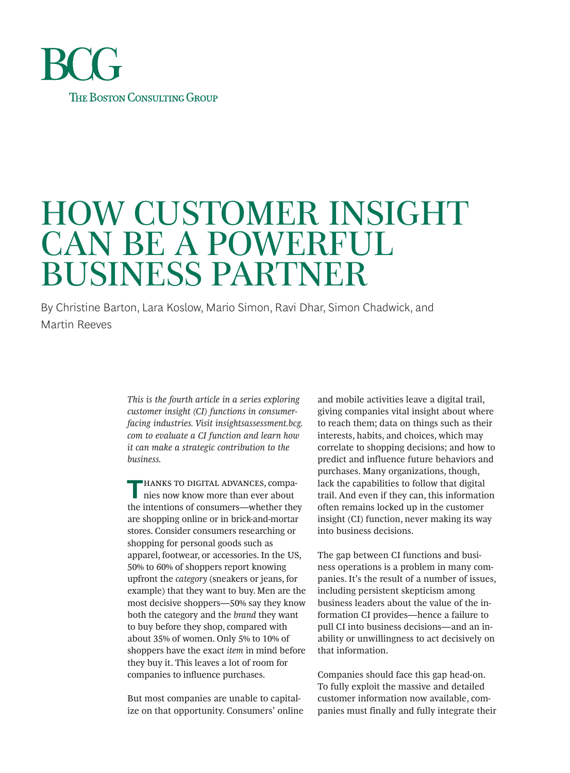

# HOW CUSTOMER INSIGHT CAN BE A POWERFUL BUSINESS PARTNER

By Christine Barton, Lara Koslow, Mario Simon, Ravi Dhar, Simon Chadwick, and Martin Reeves

> *This is the fourth article in a series exploring customer insight (CI) functions in consumerfacing industries. Visit insightsassessment.bcg. com to evaluate a CI function and learn how it can make a strategic contribution to the business.*

**HANKS TO DIGITAL ADVANCES, compa**nies now know more than ever about the intentions of consumers—whether they are shopping online or in brick-and-mortar stores. Consider consumers researching or shopping for personal goods such as apparel, footwear, or accessories. In the US, 50% to 60% of shoppers report knowing upfront the *category* (sneakers or jeans, for example) that they want to buy. Men are the most decisive shoppers—50% say they know both the category and the *brand* they want to buy before they shop, compared with about 35% of women. Only 5% to 10% of shoppers have the exact *item* in mind before they buy it. This leaves a lot of room for companies to influence purchases.

But most companies are unable to capitalize on that opportunity. Consumers' online and mobile activities leave a digital trail, giving companies vital insight about where to reach them; data on things such as their interests, habits, and choices, which may correlate to shopping decisions; and how to predict and influence future behaviors and purchases. Many organizations, though, lack the capabilities to follow that digital trail. And even if they can, this information often remains locked up in the customer insight (CI) function, never making its way into business decisions.

The gap between CI functions and business operations is a problem in many companies. It's the result of a number of issues, including persistent skepticism among business leaders about the value of the information CI provides—hence a failure to pull CI into business decisions—and an inability or unwillingness to act decisively on that information.

Companies should face this gap head-on. To fully exploit the massive and detailed customer information now available, companies must finally and fully integrate their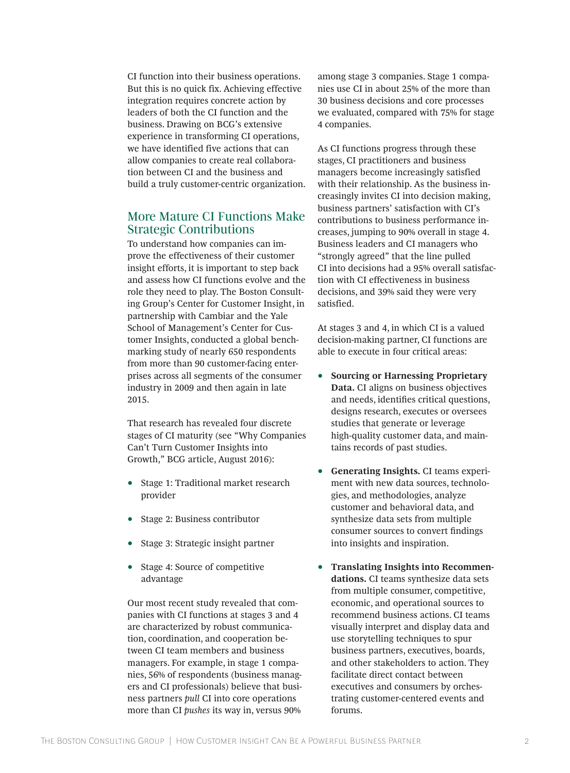CI function into their business operations. But this is no quick fix. Achieving effective integration requires concrete action by leaders of both the CI function and the business. Drawing on BCG's extensive experience in transforming CI operations, we have identified five actions that can allow companies to create real collaboration between CI and the business and build a truly customer-centric organization.

## More Mature CI Functions Make Strategic Contributions

To understand how companies can improve the effectiveness of their customer insight efforts, it is important to step back and assess how CI functions evolve and the role they need to play. The Boston Consulting Group's Center for Customer Insight, in partnership with Cambiar and the Yale School of Management's Center for Customer Insights, conducted a global benchmarking study of nearly 650 respondents from more than 90 customer-facing enterprises across all segments of the consumer industry in 2009 and then again in late 2015.

That research has revealed four discrete stages of CI maturity (see "Why Companies Can't Turn Customer Insights into Growth," BCG article, August 2016):

- Stage 1: Traditional market research provider
- Stage 2: Business contributor
- Stage 3: Strategic insight partner
- Stage 4: Source of competitive advantage

Our most recent study revealed that companies with CI functions at stages 3 and 4 are characterized by robust communication, coordination, and cooperation between CI team members and business managers. For example, in stage 1 companies, 56% of respondents (business managers and CI professionals) believe that business partners *pull* CI into core operations more than CI *pushes* its way in, versus 90%

among stage 3 companies. Stage 1 companies use CI in about 25% of the more than 30 business decisions and core processes we evaluated, compared with 75% for stage 4 companies.

As CI functions progress through these stages, CI practitioners and business managers become increasingly satisfied with their relationship. As the business increasingly invites CI into decision making, business partners' satisfaction with CI's contributions to business performance increases, jumping to 90% overall in stage 4. Business leaders and CI managers who "strongly agreed" that the line pulled CI into decisions had a 95% overall satisfaction with CI effectiveness in business decisions, and 39% said they were very satisfied.

At stages 3 and 4, in which CI is a valued decision-making partner, CI functions are able to execute in four critical areas:

- **Sourcing or Harnessing Proprietary Data.** CI aligns on business objectives and needs, identifies critical questions, designs research, executes or oversees studies that generate or leverage high-quality customer data, and maintains records of past studies.
- **Generating Insights.** CI teams experiment with new data sources, technologies, and methodologies, analyze customer and behavioral data, and synthesize data sets from multiple consumer sources to convert findings into insights and inspiration.
- **Translating Insights into Recommendations.** CI teams synthesize data sets from multiple consumer, competitive, economic, and operational sources to recommend business actions. CI teams visually interpret and display data and use storytelling techniques to spur business partners, executives, boards, and other stakeholders to action. They facilitate direct contact between executives and consumers by orchestrating customer-centered events and forums.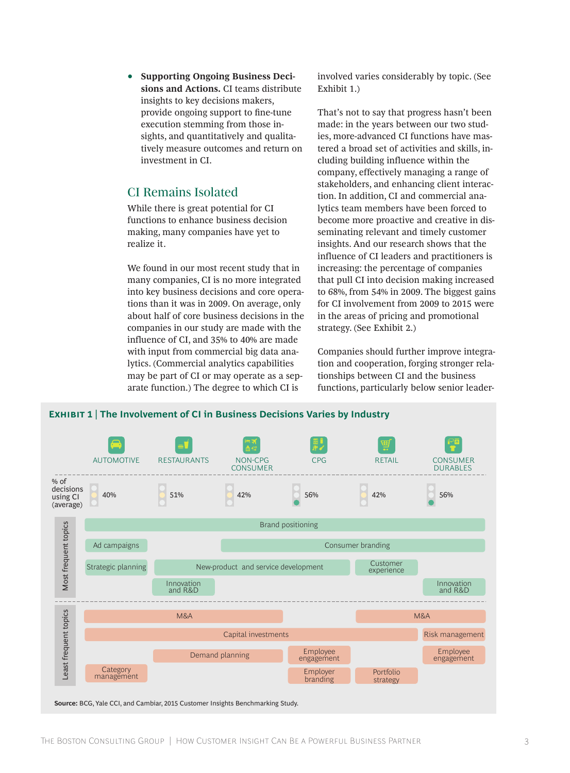• **Supporting Ongoing Business Decisions and Actions.** CI teams distribute insights to key decisions makers, provide ongoing support to fine-tune execution stemming from those insights, and quantitatively and qualitatively measure outcomes and return on investment in CI.

## CI Remains Isolated

While there is great potential for CI functions to enhance business decision making, many companies have yet to realize it.

We found in our most recent study that in many companies, CI is no more integrated into key business decisions and core operations than it was in 2009. On average, only about half of core business decisions in the companies in our study are made with the influence of CI, and 35% to 40% are made with input from commercial big data analytics. (Commercial analytics capabilities may be part of CI or may operate as a separate function.) The degree to which CI is

involved varies considerably by topic. (See Exhibit 1.)

That's not to say that progress hasn't been made: in the years between our two studies, more-advanced CI functions have mastered a broad set of activities and skills, including building influence within the company, effectively managing a range of stakeholders, and enhancing client interaction. In addition, CI and commercial analytics team members have been forced to become more proactive and creative in disseminating relevant and timely customer insights. And our research shows that the influence of CI leaders and practitioners is increasing: the percentage of companies that pull CI into decision making increased to 68%, from 54% in 2009. The biggest gains for CI involvement from 2009 to 2015 were in the areas of pricing and promotional strategy. (See Exhibit 2.)

Companies should further improve integration and cooperation, forging stronger relationships between CI and the business functions, particularly below senior leader-

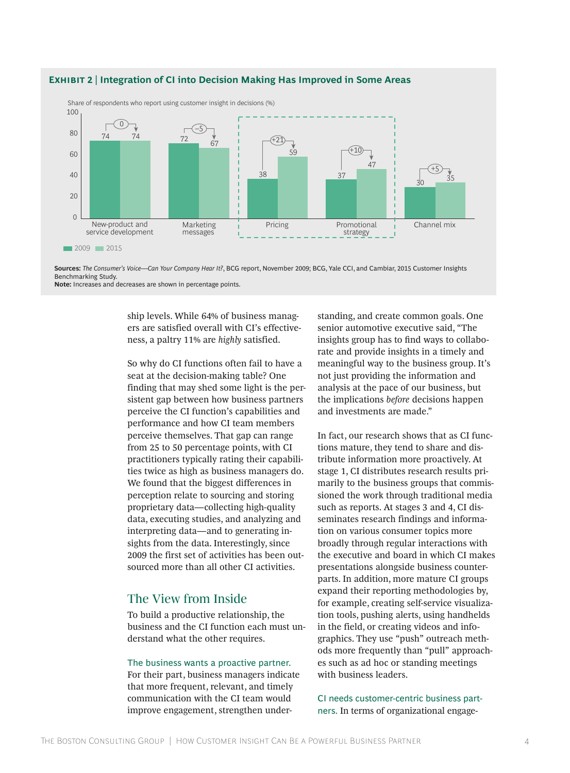

### **Exhibit 2 | Integration of CI into Decision Making Has Improved in Some Areas**

**Sources:** *The Consumer's Voice*—*Can Your Company Hear It?*, BCG report, November 2009; BCG, Yale CCI, and Cambiar, 2015 Customer Insights Benchmarking Study. **Note:** Increases and decreases are shown in percentage points.

> ship levels. While 64% of business managers are satisfied overall with CI's effectiveness, a paltry 11% are *highly* satisfied.

So why do CI functions often fail to have a seat at the decision-making table? One finding that may shed some light is the persistent gap between how business partners perceive the CI function's capabilities and performance and how CI team members perceive themselves. That gap can range from 25 to 50 percentage points, with CI practitioners typically rating their capabilities twice as high as business managers do. We found that the biggest differences in perception relate to sourcing and storing proprietary data—collecting high-quality data, executing studies, and analyzing and interpreting data—and to generating insights from the data. Interestingly, since 2009 the first set of activities has been outsourced more than all other CI activities.

## The View from Inside

To build a productive relationship, the business and the CI function each must understand what the other requires.

## The business wants a proactive partner.

For their part, business managers indicate that more frequent, relevant, and timely communication with the CI team would improve engagement, strengthen understanding, and create common goals. One senior automotive executive said, "The insights group has to find ways to collaborate and provide insights in a timely and meaningful way to the business group. It's not just providing the information and analysis at the pace of our business, but the implications *before* decisions happen and investments are made."

In fact, our research shows that as CI functions mature, they tend to share and distribute information more proactively. At stage 1, CI distributes research results primarily to the business groups that commissioned the work through traditional media such as reports. At stages 3 and 4, CI disseminates research findings and information on various consumer topics more broadly through regular interactions with the executive and board in which CI makes presentations alongside business counterparts. In addition, more mature CI groups expand their reporting methodologies by, for example, creating self-service visualization tools, pushing alerts, using handhelds in the field, or creating videos and infographics. They use "push" outreach methods more frequently than "pull" approaches such as ad hoc or standing meetings with business leaders.

CI needs customer-centric business partners. In terms of organizational engage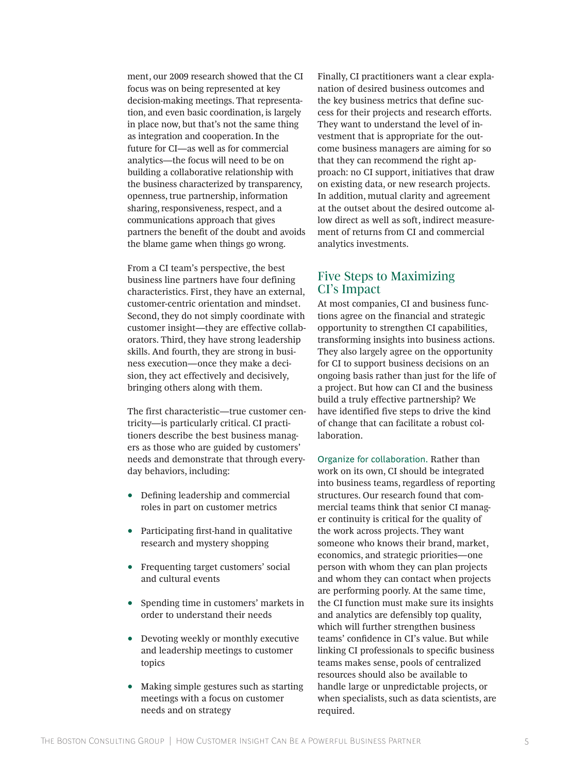ment, our 2009 research showed that the CI focus was on being represented at key decision-making meetings. That representation, and even basic coordination, is largely in place now, but that's not the same thing as integration and cooperation. In the future for CI—as well as for commercial analytics—the focus will need to be on building a collaborative relationship with the business characterized by transparency, openness, true partnership, information sharing, responsiveness, respect, and a communications approach that gives partners the benefit of the doubt and avoids the blame game when things go wrong.

From a CI team's perspective, the best business line partners have four defining characteristics. First, they have an external, customer-centric orientation and mindset. Second, they do not simply coordinate with customer insight—they are effective collaborators. Third, they have strong leadership skills. And fourth, they are strong in business execution—once they make a decision, they act effectively and decisively, bringing others along with them.

The first characteristic—true customer centricity—is particularly critical. CI practitioners describe the best business managers as those who are guided by customers' needs and demonstrate that through everyday behaviors, including:

- Defining leadership and commercial roles in part on customer metrics
- Participating first-hand in qualitative research and mystery shopping
- Frequenting target customers' social and cultural events
- Spending time in customers' markets in order to understand their needs
- Devoting weekly or monthly executive and leadership meetings to customer topics
- Making simple gestures such as starting meetings with a focus on customer needs and on strategy

Finally, CI practitioners want a clear explanation of desired business outcomes and the key business metrics that define success for their projects and research efforts. They want to understand the level of investment that is appropriate for the outcome business managers are aiming for so that they can recommend the right approach: no CI support, initiatives that draw on existing data, or new research projects. In addition, mutual clarity and agreement at the outset about the desired outcome allow direct as well as soft, indirect measurement of returns from CI and commercial analytics investments.

## Five Steps to Maximizing CI's Impact

At most companies, CI and business functions agree on the financial and strategic opportunity to strengthen CI capabilities, transforming insights into business actions. They also largely agree on the opportunity for CI to support business decisions on an ongoing basis rather than just for the life of a project. But how can CI and the business build a truly effective partnership? We have identified five steps to drive the kind of change that can facilitate a robust collaboration.

Organize for collaboration. Rather than work on its own, CI should be integrated into business teams, regardless of reporting structures. Our research found that commercial teams think that senior CI manager continuity is critical for the quality of the work across projects. They want someone who knows their brand, market, economics, and strategic priorities—one person with whom they can plan projects and whom they can contact when projects are performing poorly. At the same time, the CI function must make sure its insights and analytics are defensibly top quality, which will further strengthen business teams' confidence in CI's value. But while linking CI professionals to specific business teams makes sense, pools of centralized resources should also be available to handle large or unpredictable projects, or when specialists, such as data scientists, are required.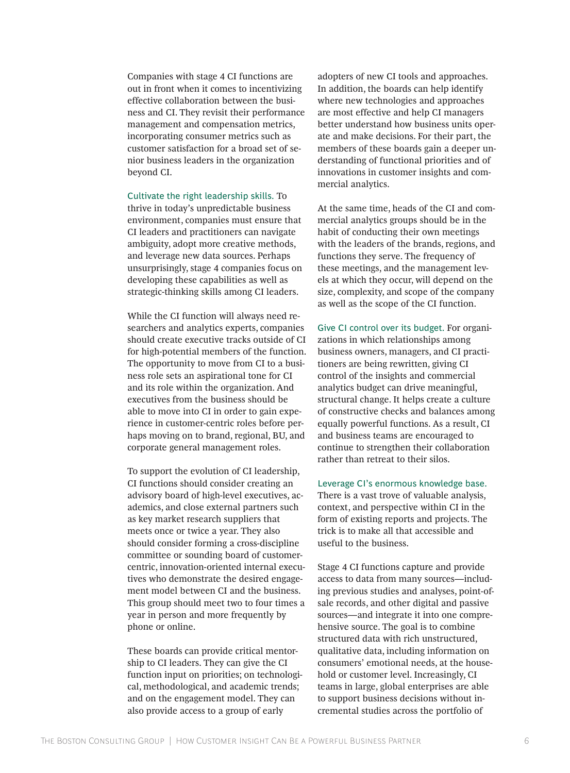Companies with stage 4 CI functions are out in front when it comes to incentivizing effective collaboration between the business and CI. They revisit their performance management and compensation metrics, incorporating consumer metrics such as customer satisfaction for a broad set of senior business leaders in the organization beyond CI.

Cultivate the right leadership skills. To thrive in today's unpredictable business environment, companies must ensure that CI leaders and practitioners can navigate ambiguity, adopt more creative methods, and leverage new data sources. Perhaps unsurprisingly, stage 4 companies focus on developing these capabilities as well as strategic-thinking skills among CI leaders.

While the CI function will always need researchers and analytics experts, companies should create executive tracks outside of CI for high-potential members of the function. The opportunity to move from CI to a business role sets an aspirational tone for CI and its role within the organization. And executives from the business should be able to move into CI in order to gain experience in customer-centric roles before perhaps moving on to brand, regional, BU, and corporate general management roles.

To support the evolution of CI leadership, CI functions should consider creating an advisory board of high-level executives, academics, and close external partners such as key market research suppliers that meets once or twice a year. They also should consider forming a cross-discipline committee or sounding board of customercentric, innovation-oriented internal executives who demonstrate the desired engagement model between CI and the business. This group should meet two to four times a year in person and more frequently by phone or online.

These boards can provide critical mentorship to CI leaders. They can give the CI function input on priorities; on technological, methodological, and academic trends; and on the engagement model. They can also provide access to a group of early

adopters of new CI tools and approaches. In addition, the boards can help identify where new technologies and approaches are most effective and help CI managers better understand how business units operate and make decisions. For their part, the members of these boards gain a deeper understanding of functional priorities and of innovations in customer insights and commercial analytics.

At the same time, heads of the CI and commercial analytics groups should be in the habit of conducting their own meetings with the leaders of the brands, regions, and functions they serve. The frequency of these meetings, and the management levels at which they occur, will depend on the size, complexity, and scope of the company as well as the scope of the CI function.

Give CI control over its budget. For organizations in which relationships among business owners, managers, and CI practitioners are being rewritten, giving CI control of the insights and commercial analytics budget can drive meaningful, structural change. It helps create a culture of constructive checks and balances among equally powerful functions. As a result, CI and business teams are encouraged to continue to strengthen their collaboration rather than retreat to their silos.

Leverage CI's enormous knowledge base. There is a vast trove of valuable analysis, context, and perspective within CI in the form of existing reports and projects. The trick is to make all that accessible and useful to the business.

Stage 4 CI functions capture and provide access to data from many sources—including previous studies and analyses, point-ofsale records, and other digital and passive sources—and integrate it into one comprehensive source. The goal is to combine structured data with rich unstructured, qualitative data, including information on consumers' emotional needs, at the household or customer level. Increasingly, CI teams in large, global enterprises are able to support business decisions without incremental studies across the portfolio of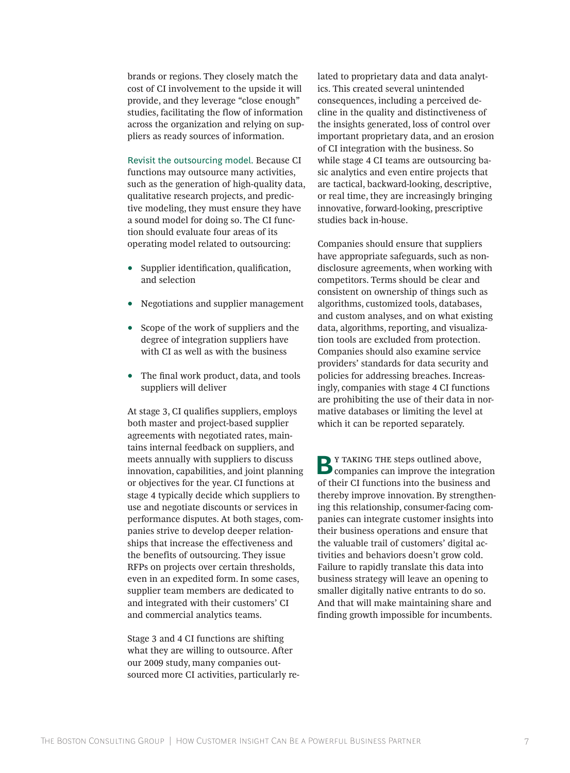brands or regions. They closely match the cost of CI involvement to the upside it will provide, and they leverage "close enough" studies, facilitating the flow of information across the organization and relying on suppliers as ready sources of information.

Revisit the outsourcing model. Because CI functions may outsource many activities, such as the generation of high-quality data, qualitative research projects, and predictive modeling, they must ensure they have a sound model for doing so. The CI function should evaluate four areas of its operating model related to outsourcing:

- Supplier identification, qualification, and selection
- Negotiations and supplier management
- Scope of the work of suppliers and the degree of integration suppliers have with CI as well as with the business
- The final work product, data, and tools suppliers will deliver

At stage 3, CI qualifies suppliers, employs both master and project-based supplier agreements with negotiated rates, maintains internal feedback on suppliers, and meets annually with suppliers to discuss innovation, capabilities, and joint planning or objectives for the year. CI functions at stage 4 typically decide which suppliers to use and negotiate discounts or services in performance disputes. At both stages, companies strive to develop deeper relationships that increase the effectiveness and the benefits of outsourcing. They issue RFPs on projects over certain thresholds, even in an expedited form. In some cases, supplier team members are dedicated to and integrated with their customers' CI and commercial analytics teams.

Stage 3 and 4 CI functions are shifting what they are willing to outsource. After our 2009 study, many companies outsourced more CI activities, particularly related to proprietary data and data analytics. This created several unintended consequences, including a perceived decline in the quality and distinctiveness of the insights generated, loss of control over important proprietary data, and an erosion of CI integration with the business. So while stage 4 CI teams are outsourcing basic analytics and even entire projects that are tactical, backward-looking, descriptive, or real time, they are increasingly bringing innovative, forward-looking, prescriptive studies back in-house.

Companies should ensure that suppliers have appropriate safeguards, such as nondisclosure agreements, when working with competitors. Terms should be clear and consistent on ownership of things such as algorithms, customized tools, databases, and custom analyses, and on what existing data, algorithms, reporting, and visualization tools are excluded from protection. Companies should also examine service providers' standards for data security and policies for addressing breaches. Increasingly, companies with stage 4 CI functions are prohibiting the use of their data in normative databases or limiting the level at which it can be reported separately.

**B**<sup>Y</sup> TAKING THE steps outlined above,<br> **Companies can improve the integration** of their CI functions into the business and thereby improve innovation. By strengthening this relationship, consumer-facing companies can integrate customer insights into their business operations and ensure that the valuable trail of customers' digital activities and behaviors doesn't grow cold. Failure to rapidly translate this data into business strategy will leave an opening to smaller digitally native entrants to do so. And that will make maintaining share and finding growth impossible for incumbents.